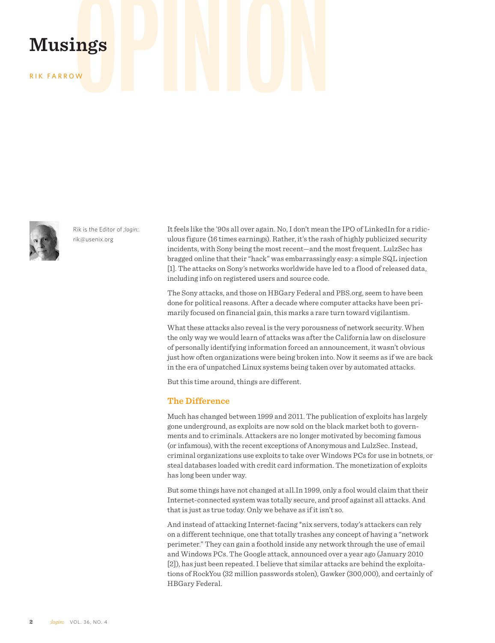# **Musings**<br>RIK FARROW

RIK FARROW



Rik is the Editor of *;login:.* rik@usenix.org

It feels like the '90s all over again. No, I don't mean the IPO of LinkedIn for a ridiculous figure (16 times earnings). Rather, it's the rash of highly publicized security incidents, with Sony being the most recent—and the most frequent. LulzSec has bragged online that their "hack" was embarrassingly easy: a simple SQL injection [1]. The attacks on Sony's networks worldwide have led to a flood of released data, including info on registered users and source code.

The Sony attacks, and those on HBGary Federal and PBS.org, seem to have been done for political reasons. After a decade where computer attacks have been primarily focused on financial gain, this marks a rare turn toward vigilantism.

What these attacks also reveal is the very porousness of network security. When the only way we would learn of attacks was after the California law on disclosure of personally identifying information forced an announcement, it wasn't obvious just how often organizations were being broken into. Now it seems as if we are back in the era of unpatched Linux systems being taken over by automated attacks.

But this time around, things are different.

# **The Difference**

Much has changed between 1999 and 2011. The publication of exploits has largely gone underground, as exploits are now sold on the black market both to governments and to criminals. Attackers are no longer motivated by becoming famous (or infamous), with the recent exceptions of Anonymous and LulzSec. Instead, criminal organizations use exploits to take over Windows PCs for use in botnets, or steal databases loaded with credit card information. The monetization of exploits has long been under way.

But some things have not changed at all.In 1999, only a fool would claim that their Internet-connected system was totally secure, and proof against all attacks. And that is just as true today. Only we behave as if it isn't so.

And instead of attacking Internet-facing \*nix servers, today's attackers can rely on a different technique, one that totally trashes any concept of having a "network perimeter." They can gain a foothold inside any network through the use of email and Windows PCs. The Google attack, announced over a year ago (January 2010 [2]), has just been repeated. I believe that similar attacks are behind the exploitations of RockYou (32 million passwords stolen), Gawker (300,000), and certainly of HBGary Federal.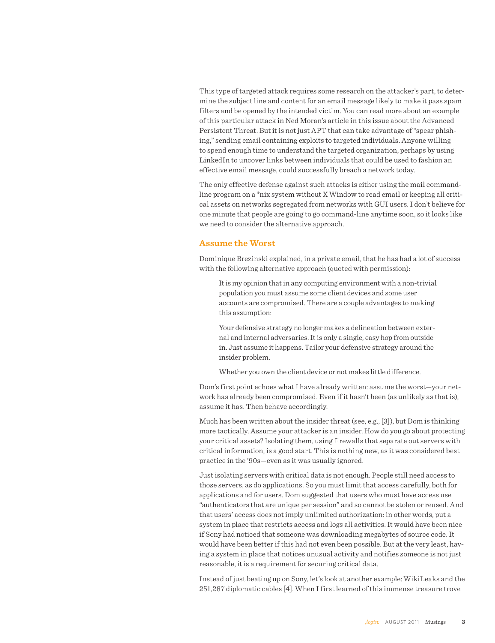This type of targeted attack requires some research on the attacker's part, to determine the subject line and content for an email message likely to make it pass spam filters and be opened by the intended victim. You can read more about an example of this particular attack in Ned Moran's article in this issue about the Advanced Persistent Threat. But it is not just APT that can take advantage of "spear phishing," sending email containing exploits to targeted individuals. Anyone willing to spend enough time to understand the targeted organization, perhaps by using LinkedIn to uncover links between individuals that could be used to fashion an effective email message, could successfully breach a network today.

The only effective defense against such attacks is either using the mail commandline program on a \*nix system without X Window to read email or keeping all critical assets on networks segregated from networks with GUI users. I don't believe for one minute that people are going to go command-line anytime soon, so it looks like we need to consider the alternative approach.

## **Assume the Worst**

Dominique Brezinski explained, in a private email, that he has had a lot of success with the following alternative approach (quoted with permission):

It is my opinion that in any computing environment with a non-trivial population you must assume some client devices and some user accounts are compromised. There are a couple advantages to making this assumption:

Your defensive strategy no longer makes a delineation between external and internal adversaries. It is only a single, easy hop from outside in. Just assume it happens. Tailor your defensive strategy around the insider problem.

Whether you own the client device or not makes little difference.

Dom's first point echoes what I have already written: assume the worst—your network has already been compromised. Even if it hasn't been (as unlikely as that is), assume it has. Then behave accordingly.

Much has been written about the insider threat (see, e.g., [3]), but Dom is thinking more tactically. Assume your attacker is an insider. How do you go about protecting your critical assets? Isolating them, using firewalls that separate out servers with critical information, is a good start. This is nothing new, as it was considered best practice in the '90s—even as it was usually ignored.

Just isolating servers with critical data is not enough. People still need access to those servers, as do applications. So you must limit that access carefully, both for applications and for users. Dom suggested that users who must have access use "authenticators that are unique per session" and so cannot be stolen or reused. And that users' access does not imply unlimited authorization: in other words, put a system in place that restricts access and logs all activities. It would have been nice if Sony had noticed that someone was downloading megabytes of source code. It would have been better if this had not even been possible. But at the very least, having a system in place that notices unusual activity and notifies someone is not just reasonable, it is a requirement for securing critical data.

Instead of just beating up on Sony, let's look at another example: WikiLeaks and the 251,287 diplomatic cables [4]. When I first learned of this immense treasure trove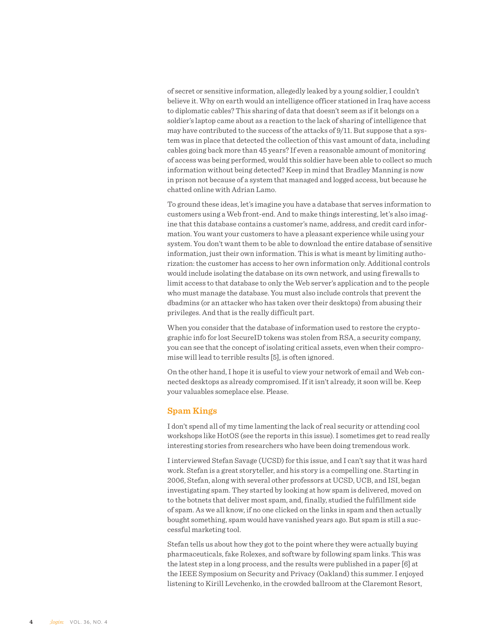of secret or sensitive information, allegedly leaked by a young soldier, I couldn't believe it. Why on earth would an intelligence officer stationed in Iraq have access to diplomatic cables? This sharing of data that doesn't seem as if it belongs on a soldier's laptop came about as a reaction to the lack of sharing of intelligence that may have contributed to the success of the attacks of 9/11. But suppose that a system was in place that detected the collection of this vast amount of data, including cables going back more than 45 years? If even a reasonable amount of monitoring of access was being performed, would this soldier have been able to collect so much information without being detected? Keep in mind that Bradley Manning is now in prison not because of a system that managed and logged access, but because he chatted online with Adrian Lamo.

To ground these ideas, let's imagine you have a database that serves information to customers using a Web front-end. And to make things interesting, let's also imagine that this database contains a customer's name, address, and credit card information. You want your customers to have a pleasant experience while using your system. You don't want them to be able to download the entire database of sensitive information, just their own information. This is what is meant by limiting authorization: the customer has access to her own information only. Additional controls would include isolating the database on its own network, and using firewalls to limit access to that database to only the Web server's application and to the people who must manage the database. You must also include controls that prevent the dbadmins (or an attacker who has taken over their desktops) from abusing their privileges. And that is the really difficult part.

When you consider that the database of information used to restore the cryptographic info for lost SecureID tokens was stolen from RSA, a security company, you can see that the concept of isolating critical assets, even when their compromise will lead to terrible results [5], is often ignored.

On the other hand, I hope it is useful to view your network of email and Web connected desktops as already compromised. If it isn't already, it soon will be. Keep your valuables someplace else. Please.

## **Spam Kings**

I don't spend all of my time lamenting the lack of real security or attending cool workshops like HotOS (see the reports in this issue). I sometimes get to read really interesting stories from researchers who have been doing tremendous work.

I interviewed Stefan Savage (UCSD) for this issue, and I can't say that it was hard work. Stefan is a great storyteller, and his story is a compelling one. Starting in 2006, Stefan, along with several other professors at UCSD, UCB, and ISI, began investigating spam. They started by looking at how spam is delivered, moved on to the botnets that deliver most spam, and, finally, studied the fulfillment side of spam. As we all know, if no one clicked on the links in spam and then actually bought something, spam would have vanished years ago. But spam is still a successful marketing tool.

Stefan tells us about how they got to the point where they were actually buying pharmaceuticals, fake Rolexes, and software by following spam links. This was the latest step in a long process, and the results were published in a paper [6] at the IEEE Symposium on Security and Privacy (Oakland) this summer. I enjoyed listening to Kirill Levchenko, in the crowded ballroom at the Claremont Resort,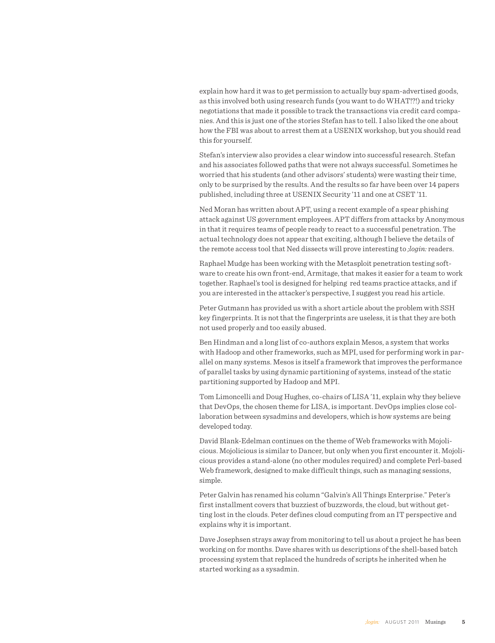explain how hard it was to get permission to actually buy spam-advertised goods, as this involved both using research funds (you want to do WHAT!?!) and tricky negotiations that made it possible to track the transactions via credit card companies. And this is just one of the stories Stefan has to tell. I also liked the one about how the FBI was about to arrest them at a USENIX workshop, but you should read this for yourself.

Stefan's interview also provides a clear window into successful research. Stefan and his associates followed paths that were not always successful. Sometimes he worried that his students (and other advisors' students) were wasting their time, only to be surprised by the results. And the results so far have been over 14 papers published, including three at USENIX Security '11 and one at CSET '11.

Ned Moran has written about APT, using a recent example of a spear phishing attack against US government employees. APT differs from attacks by Anonymous in that it requires teams of people ready to react to a successful penetration. The actual technology does not appear that exciting, although I believe the details of the remote access tool that Ned dissects will prove interesting to *;login:* readers.

Raphael Mudge has been working with the Metasploit penetration testing software to create his own front-end, Armitage, that makes it easier for a team to work together. Raphael's tool is designed for helping red teams practice attacks, and if you are interested in the attacker's perspective, I suggest you read his article.

Peter Gutmann has provided us with a short article about the problem with SSH key fingerprints. It is not that the fingerprints are useless, it is that they are both not used properly and too easily abused.

Ben Hindman and a long list of co-authors explain Mesos, a system that works with Hadoop and other frameworks, such as MPI, used for performing work in parallel on many systems. Mesos is itself a framework that improves the performance of parallel tasks by using dynamic partitioning of systems, instead of the static partitioning supported by Hadoop and MPI.

Tom Limoncelli and Doug Hughes, co-chairs of LISA '11, explain why they believe that DevOps, the chosen theme for LISA, is important. DevOps implies close collaboration between sysadmins and developers, which is how systems are being developed today.

David Blank-Edelman continues on the theme of Web frameworks with Mojolicious. Mojolicious is similar to Dancer, but only when you first encounter it. Mojolicious provides a stand-alone (no other modules required) and complete Perl-based Web framework, designed to make difficult things, such as managing sessions, simple.

Peter Galvin has renamed his column "Galvin's All Things Enterprise." Peter's first installment covers that buzziest of buzzwords, the cloud, but without getting lost in the clouds. Peter defines cloud computing from an IT perspective and explains why it is important.

Dave Josephsen strays away from monitoring to tell us about a project he has been working on for months. Dave shares with us descriptions of the shell-based batch processing system that replaced the hundreds of scripts he inherited when he started working as a sysadmin.